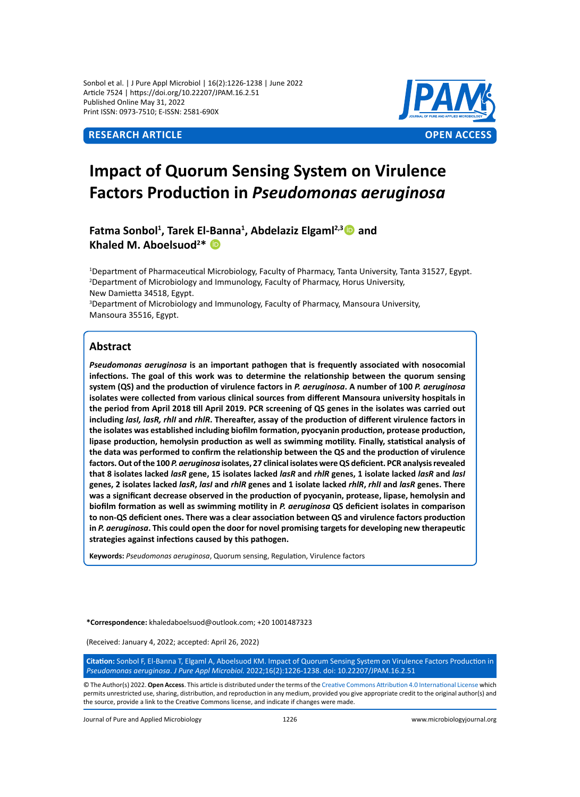Sonbol et al. | J Pure Appl Microbiol | 16(2):1226-1238 | June 2022 Article 7524 | https://doi.org/10.22207/JPAM.16.2.51 Published Online May 31, 2022 Print ISSN: 0973-7510; E-ISSN: 2581-690X



# **Impact of Quorum Sensing System on Virulence Factors Production in** *Pseudomonas aeruginosa*

Fatma Sonbol<sup>1</sup>, Tarek El-Banna<sup>1</sup>, Abdelaziz Elgaml<sup>2,3</sup><sup>1</sup>2 and **Khaled M. Aboelsuod2 \*** 

1 Department of Pharmaceutical Microbiology, Faculty of Pharmacy, Tanta University, Tanta 31527, Egypt. 2 Department of Microbiology and Immunology, Faculty of Pharmacy, Horus University, New Damietta 34518, Egypt. <sup>3</sup>Department of Microbiology and Immunology, Faculty of Pharmacy, Mansoura University, Mansoura 35516, Egypt.

# **Abstract**

*Pseudomonas aeruginosa* **is an important pathogen that is frequently associated with nosocomial infections. The goal of this work was to determine the relationship between the quorum sensing system (QS) and the production of virulence factors in** *P. aeruginosa***. A number of 100** *P. aeruginosa* **isolates were collected from various clinical sources from different Mansoura university hospitals in the period from April 2018 till April 2019. PCR screening of QS genes in the isolates was carried out including** *lasI, lasR, rhlI* **and** *rhlR***. Thereafter, assay of the production of different virulence factors in the isolates was established including biofilm formation, pyocyanin production, protease production, lipase production, hemolysin production as well as swimming motility. Finally, statistical analysis of the data was performed to confirm the relationship between the QS and the production of virulence factors. Out of the 100** *P. aeruginosa* **isolates, 27 clinical isolates were QS deficient. PCR analysis revealed that 8 isolates lacked** *lasR* **gene, 15 isolates lacked** *lasR* **and** *rhlR* **genes, 1 isolate lacked** *lasR* **and** *lasI*  **genes, 2 isolates lacked** *lasR***,** *lasI* **and** *rhlR* **genes and 1 isolate lacked** *rhlR***,** *rhlI* **and** *lasR* **genes. There was a significant decrease observed in the production of pyocyanin, protease, lipase, hemolysin and biofilm formation as well as swimming motility in** *P. aeruginosa* **QS deficient isolates in comparison to non-QS deficient ones. There was a clear association between QS and virulence factors production in** *P. aeruginosa***. This could open the door for novel promising targets for developing new therapeutic strategies against infections caused by this pathogen.**

**Keywords:** *Pseudomonas aeruginosa*, Quorum sensing, Regulation, Virulence factors

**\*Correspondence:** khaledaboelsuod@outlook.com; +20 1001487323

(Received: January 4, 2022; accepted: April 26, 2022)

**Citation:** Sonbol F, El-Banna T, Elgaml A, Aboelsuod KM. Impact of Quorum Sensing System on Virulence Factors Production in *Pseudomonas aeruginosa*. *J Pure Appl Microbiol.* 2022;16(2):1226-1238. doi: 10.22207/JPAM.16.2.51

© The Author(s) 2022. **Open Access**. This article is distributed under the terms of the [Creative Commons Attribution 4.0 International License](https://creativecommons.org/licenses/by/4.0/) which permits unrestricted use, sharing, distribution, and reproduction in any medium, provided you give appropriate credit to the original author(s) and the source, provide a link to the Creative Commons license, and indicate if changes were made.

Journal of Pure and Applied Microbiology 1226 www.microbiologyjournal.org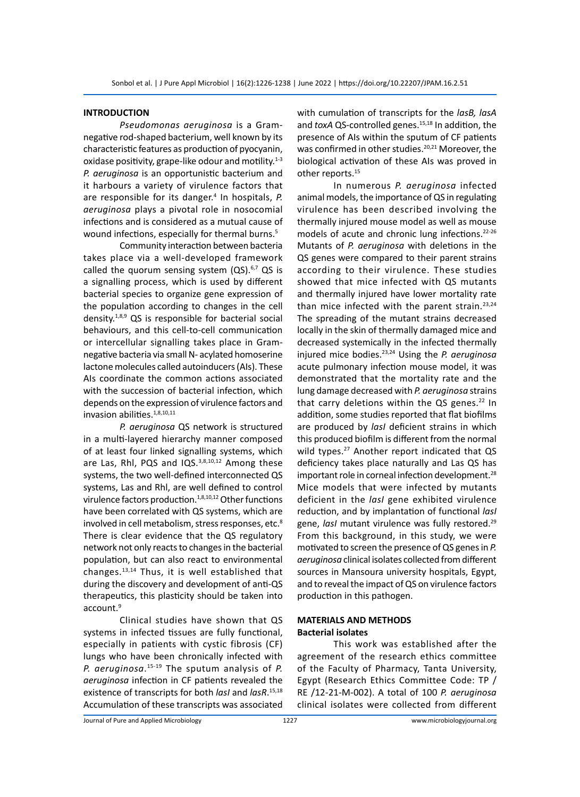#### **INTRODUCTION**

*Pseudomonas aeruginosa* is a Gramnegative rod-shaped bacterium, well known by its characteristic features as production of pyocyanin, oxidase positivity, grape-like odour and motility.<sup>1-3</sup> *P. aeruginosa* is an opportunistic bacterium and it harbours a variety of virulence factors that are responsible for its danger.<sup>4</sup> In hospitals, P. *aeruginosa* plays a pivotal role in nosocomial infections and is considered as a mutual cause of wound infections, especially for thermal burns.<sup>5</sup>

Community interaction between bacteria takes place via a well-developed framework called the quorum sensing system  $(QS).<sup>6,7</sup> QS$  is a signalling process, which is used by different bacterial species to organize gene expression of the population according to changes in the cell density.1,8,9 QS is responsible for bacterial social behaviours, and this cell-to-cell communication or intercellular signalling takes place in Gramnegative bacteria via small N- acylated homoserine lactone molecules called autoinducers (AIs). These AIs coordinate the common actions associated with the succession of bacterial infection, which depends on the expression of virulence factors and invasion abilities.<sup>1,8,10,11</sup>

*P. aeruginosa* QS network is structured in a multi-layered hierarchy manner composed of at least four linked signalling systems, which are Las, Rhl, PQS and IQS.<sup>3,8,10,12</sup> Among these systems, the two well-defined interconnected QS systems, Las and Rhl, are well defined to control virulence factors production.1,8,10,12 Other functions have been correlated with QS systems, which are involved in cell metabolism, stress responses, etc.<sup>8</sup> There is clear evidence that the QS regulatory network not only reacts to changes in the bacterial population, but can also react to environmental changes.13,14 Thus, it is well established that during the discovery and development of anti-QS therapeutics, this plasticity should be taken into account.9

Clinical studies have shown that QS systems in infected tissues are fully functional, especially in patients with cystic fibrosis (CF) lungs who have been chronically infected with *P. aeruginosa*. 15-19 The sputum analysis of *P. aeruginosa* infection in CF patients revealed the existence of transcripts for both *lasI* and *lasR*. 15,18 Accumulation of these transcripts was associated

with cumulation of transcripts for the *lasB, lasA* and *toxA* QS-controlled genes.<sup>15,18</sup> In addition, the presence of AIs within the sputum of CF patients was confirmed in other studies.<sup>20,21</sup> Moreover, the biological activation of these AIs was proved in other reports.<sup>15</sup>

In numerous *P. aeruginosa* infected animal models, the importance of QS in regulating virulence has been described involving the thermally injured mouse model as well as mouse models of acute and chronic lung infections.22-26 Mutants of *P. aeruginosa* with deletions in the QS genes were compared to their parent strains according to their virulence. These studies showed that mice infected with QS mutants and thermally injured have lower mortality rate than mice infected with the parent strain. $23,24$ The spreading of the mutant strains decreased locally in the skin of thermally damaged mice and decreased systemically in the infected thermally injured mice bodies.23,24 Using the *P. aeruginosa* acute pulmonary infection mouse model, it was demonstrated that the mortality rate and the lung damage decreased with *P. aeruginosa* strains that carry deletions within the QS genes. $^{22}$  In addition, some studies reported that flat biofilms are produced by *lasI* deficient strains in which this produced biofilm is different from the normal wild types.<sup>27</sup> Another report indicated that QS deficiency takes place naturally and Las QS has important role in corneal infection development.<sup>28</sup> Mice models that were infected by mutants deficient in the *lasI* gene exhibited virulence reduction, and by implantation of functional *lasI* gene, *lasI* mutant virulence was fully restored.29 From this background, in this study, we were motivated to screen the presence of QS genes in *P. aeruginosa* clinical isolates collected from different sources in Mansoura university hospitals, Egypt, and to reveal the impact of QS on virulence factors production in this pathogen.

# **MATERIALS AND METHODS Bacterial isolates**

This work was established after the agreement of the research ethics committee of the Faculty of Pharmacy, Tanta University, Egypt (Research Ethics Committee Code: TP / RE /12-21-M-002). A total of 100 *P. aeruginosa* clinical isolates were collected from different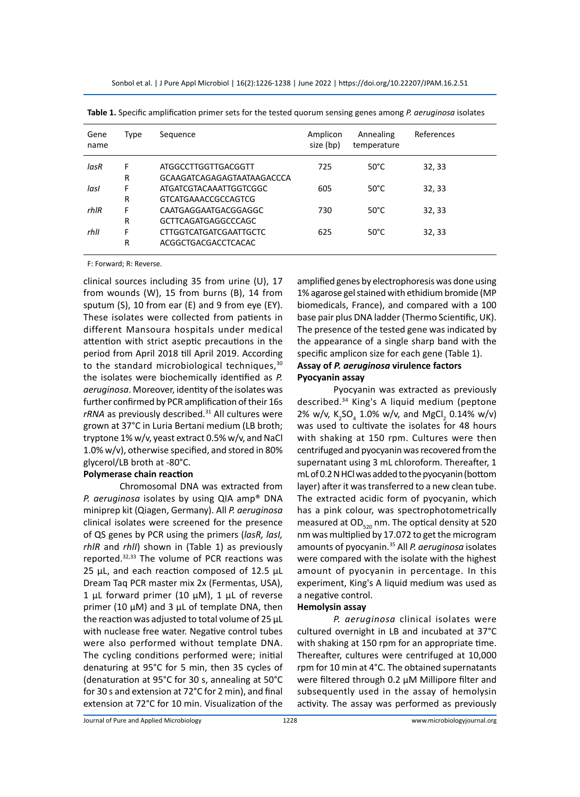| Gene<br>name | Type | Sequence                      | Amplicon<br>size (bp) | Annealing<br>temperature | References |
|--------------|------|-------------------------------|-----------------------|--------------------------|------------|
| lasR         | F    | ATGGCCTTGGTTGACGGTT           | 725                   | $50^{\circ}$ C           | 32, 33     |
|              | R    | GCAAGATCAGAGAGTAATAAGACCCA    |                       |                          |            |
| lasl         | F    | ATGATCGTACAAATTGGTCGGC        | 605                   | $50^{\circ}$ C           | 32, 33     |
|              | R    | <b>GTCATGAAACCGCCAGTCG</b>    |                       |                          |            |
| rhIR         | F    | CAATGAGGAATGACGGAGGC          | 730                   | $50^{\circ}$ C           | 32, 33     |
|              | R    | GCTTCAGATGAGGCCCAGC           |                       |                          |            |
| rhll         | F    | <b>CTTGGTCATGATCGAATTGCTC</b> | 625                   | $50^{\circ}$ C           | 32, 33     |
|              | R    | ACGGCTGACGACCTCACAC           |                       |                          |            |
|              |      |                               |                       |                          |            |

**Table 1.** Specific amplification primer sets for the tested quorum sensing genes among *P. aeruginosa* isolates

F: Forward; R: Reverse.

clinical sources including 35 from urine (U), 17 from wounds (W), 15 from burns (B), 14 from sputum (S), 10 from ear (E) and 9 from eye (EY). These isolates were collected from patients in different Mansoura hospitals under medical attention with strict aseptic precautions in the period from April 2018 till April 2019. According to the standard microbiological techniques, 30 the isolates were biochemically identified as *P. aeruginosa*. Moreover, identity of the isolates was further confirmed by PCR amplification of their 16s *rRNA* as previously described.31 All cultures were grown at 37°C in Luria Bertani medium (LB broth; tryptone 1% w/v, yeast extract 0.5% w/v, and NaCl 1.0% w/v), otherwise specified, and stored in 80% glycerol/LB broth at -80°C.

#### **Polymerase chain reaction**

Chromosomal DNA was extracted from *P. aeruginosa* isolates by using QIA amp® DNA miniprep kit (Qiagen, Germany). All *P. aeruginosa* clinical isolates were screened for the presence of QS genes by PCR using the primers (*lasR, lasI, rhlR* and *rhlI*) shown in (Table 1) as previously reported.32,33 The volume of PCR reactions was 25  $\mu$ L, and each reaction composed of 12.5  $\mu$ L Dream Taq PCR master mix 2x (Fermentas, USA), 1 μL forward primer (10 μM), 1 μL of reverse primer (10 μM) and 3 μL of template DNA, then the reaction was adjusted to total volume of 25 μL with nuclease free water. Negative control tubes were also performed without template DNA. The cycling conditions performed were; initial denaturing at 95°C for 5 min, then 35 cycles of (denaturation at 95°C for 30 s, annealing at 50°C for 30 s and extension at 72°C for 2 min), and final extension at 72°C for 10 min. Visualization of the amplified genes by electrophoresis was done using 1% agarose gel stained with ethidium bromide (MP biomedicals, France), and compared with a 100 base pair plus DNA ladder (Thermo Scientific, UK). The presence of the tested gene was indicated by the appearance of a single sharp band with the specific amplicon size for each gene (Table 1). **Assay of** *P. aeruginosa* **virulence factors**

# **Pyocyanin assay**

Pyocyanin was extracted as previously described.34 King's A liquid medium (peptone 2% w/v, K<sub>2</sub>SO<sub>4</sub> 1.0% w/v, and MgCl<sub>2</sub> 0.14% w/v) was used to cultivate the isolates for 48 hours with shaking at 150 rpm. Cultures were then centrifuged and pyocyanin was recovered from the supernatant using 3 mL chloroform. Thereafter, 1 mL of 0.2 N HCl was added to the pyocyanin (bottom layer) after it was transferred to a new clean tube. The extracted acidic form of pyocyanin, which has a pink colour, was spectrophotometrically measured at  $OD_{520}$  nm. The optical density at 520 nm was multiplied by 17.072 to get the microgram amounts of pyocyanin.35 All *P. aeruginosa* isolates were compared with the isolate with the highest amount of pyocyanin in percentage. In this experiment, King's A liquid medium was used as a negative control.

#### **Hemolysin assay**

*P. aeruginosa* clinical isolates were cultured overnight in LB and incubated at 37°C with shaking at 150 rpm for an appropriate time. Thereafter, cultures were centrifuged at 10,000 rpm for 10 min at 4°C. The obtained supernatants were filtered through 0.2 µM Millipore filter and subsequently used in the assay of hemolysin activity. The assay was performed as previously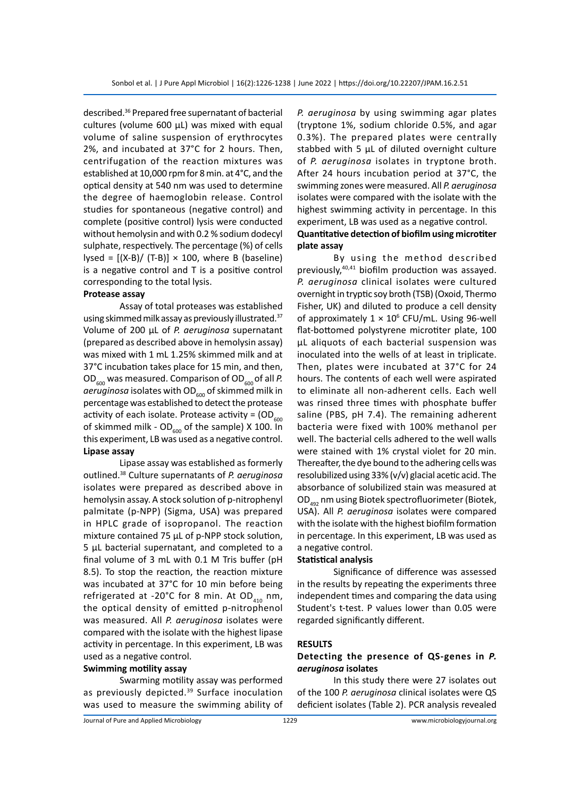described.36 Prepared free supernatant of bacterial cultures (volume 600  $\mu$ L) was mixed with equal volume of saline suspension of erythrocytes 2%, and incubated at 37°C for 2 hours. Then, centrifugation of the reaction mixtures was established at 10,000 rpm for 8 min. at 4°C, and the optical density at 540 nm was used to determine the degree of haemoglobin release. Control studies for spontaneous (negative control) and complete (positive control) lysis were conducted without hemolysin and with 0.2 % sodium dodecyl sulphate, respectively. The percentage (%) of cells lysed =  $[(X-B)/(T-B)] \times 100$ , where B (baseline) is a negative control and T is a positive control corresponding to the total lysis.

#### **Protease assay**

Assay of total proteases was established using skimmed milk assay as previously illustrated.37 Volume of 200 µL of *P. aeruginosa* supernatant (prepared as described above in hemolysin assay) was mixed with 1 mL 1.25% skimmed milk and at 37°C incubation takes place for 15 min, and then, OD<sub>600</sub> was measured. Comparison of OD<sub>600</sub> of all P. aeruginosa isolates with OD<sub>600</sub> of skimmed milk in percentage was established to detect the protease activity of each isolate. Protease activity =  $OD<sub>600</sub>$ of skimmed milk -  $OD_{600}$  of the sample) X 100. In this experiment, LB was used as a negative control. **Lipase assay**

Lipase assay was established as formerly outlined.38 Culture supernatants of *P. aeruginosa* isolates were prepared as described above in hemolysin assay. A stock solution of p-nitrophenyl palmitate (p-NPP) (Sigma, USA) was prepared in HPLC grade of isopropanol. The reaction mixture contained 75 µL of p-NPP stock solution, 5 µL bacterial supernatant, and completed to a final volume of 3 mL with 0.1 M Tris buffer (pH 8.5). To stop the reaction, the reaction mixture was incubated at 37°C for 10 min before being refrigerated at -20°C for 8 min. At OD<sub>410</sub> nm, the optical density of emitted p-nitrophenol was measured. All *P. aeruginosa* isolates were compared with the isolate with the highest lipase activity in percentage. In this experiment, LB was used as a negative control.

#### **Swimming motility assay**

Swarming motility assay was performed as previously depicted.<sup>39</sup> Surface inoculation was used to measure the swimming ability of *P. aeruginosa* by using swimming agar plates (tryptone 1%, sodium chloride 0.5%, and agar 0.3%). The prepared plates were centrally stabbed with 5 μL of diluted overnight culture of *P. aeruginosa* isolates in tryptone broth. After 24 hours incubation period at 37°C, the swimming zones were measured. All *P. aeruginosa* isolates were compared with the isolate with the highest swimming activity in percentage. In this experiment, LB was used as a negative control. **Quantitative detection of biofilm using microtiter plate assay**

By using the method described previously,40,41 biofilm production was assayed. *P. aeruginosa* clinical isolates were cultured overnight in tryptic soy broth (TSB) (Oxoid, Thermo Fisher, UK) and diluted to produce a cell density of approximately  $1 \times 10^6$  CFU/mL. Using 96-well flat-bottomed polystyrene microtiter plate, 100 μL aliquots of each bacterial suspension was inoculated into the wells of at least in triplicate. Then, plates were incubated at 37°C for 24 hours. The contents of each well were aspirated to eliminate all non-adherent cells. Each well was rinsed three times with phosphate buffer saline (PBS, pH 7.4). The remaining adherent bacteria were fixed with 100% methanol per well. The bacterial cells adhered to the well walls were stained with 1% crystal violet for 20 min. Thereafter, the dye bound to the adhering cells was resolubilized using 33% (v/v) glacial acetic acid. The absorbance of solubilized stain was measured at OD492 nm using Biotek spectrofluorimeter (Biotek, USA). All *P. aeruginosa* isolates were compared with the isolate with the highest biofilm formation in percentage. In this experiment, LB was used as a negative control.

#### **Statistical analysis**

Significance of difference was assessed in the results by repeating the experiments three independent times and comparing the data using Student's t-test. P values lower than 0.05 were regarded significantly different.

#### **RESULTS**

## **Detecting the presence of QS-genes in** *P. aeruginosa* **isolates**

In this study there were 27 isolates out of the 100 *P. aeruginosa* clinical isolates were QS deficient isolates (Table 2). PCR analysis revealed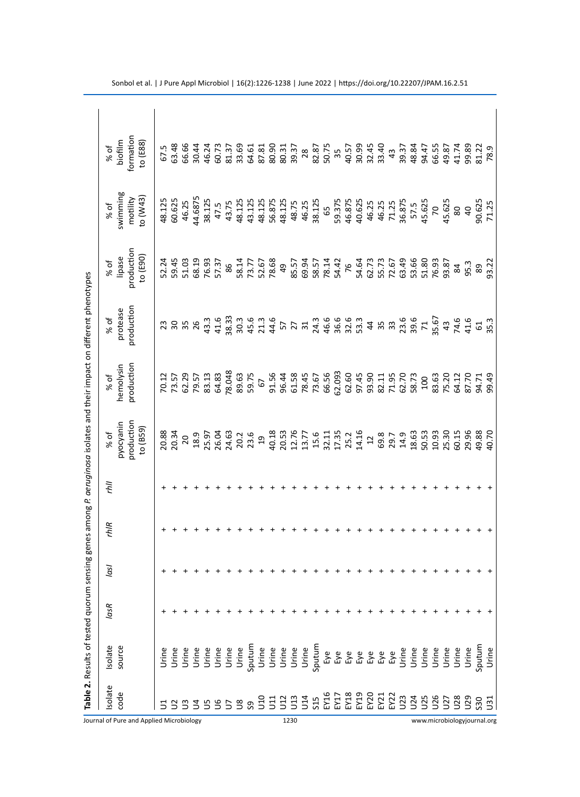| solate                                           | Isolate                                            | <b>lasR</b> | lasl | rhiR | lių | % of                                                                                                                                                                                                                                                                                                          | $%$ of                  | % of                                         | % of                 | % of                                         | % of                    |
|--------------------------------------------------|----------------------------------------------------|-------------|------|------|-----|---------------------------------------------------------------------------------------------------------------------------------------------------------------------------------------------------------------------------------------------------------------------------------------------------------------|-------------------------|----------------------------------------------|----------------------|----------------------------------------------|-------------------------|
| code                                             | source                                             |             |      |      |     | production<br>pyocyanin                                                                                                                                                                                                                                                                                       | production<br>hemolysin | production<br>protease                       | production<br>lipase | swimming<br>motility                         | formation<br>biofilm    |
|                                                  |                                                    |             |      |      |     | to (B59)                                                                                                                                                                                                                                                                                                      |                         |                                              | $\cos(E30)$          | to (W43)                                     | to $(588)$              |
|                                                  | Urine                                              |             |      |      |     |                                                                                                                                                                                                                                                                                                               | 70.12                   |                                              | 52.24                | 48.125                                       | 67.5                    |
|                                                  | Urine                                              |             |      |      |     | 20.88<br>20.34                                                                                                                                                                                                                                                                                                |                         | 2358<br>235                                  |                      | 60.625                                       | 63.48                   |
|                                                  |                                                    |             |      |      |     | 20                                                                                                                                                                                                                                                                                                            | 73.57<br>62.29          |                                              | 59.45<br>51.03       | 46.25                                        | 66.66                   |
|                                                  |                                                    |             |      |      |     | 18.9                                                                                                                                                                                                                                                                                                          |                         |                                              | 68.19                | 44.6875                                      | 30.44                   |
|                                                  | Drine<br>Drine<br>Drine<br>Drine<br>Drine<br>Drine |             |      |      |     | 25.97<br>26.04<br>20.2<br>20.2<br>23.6                                                                                                                                                                                                                                                                        | 79.57<br>83.13          | $43.3$<br>$41.6$<br>$38.33$                  | 76.93                | 38.125                                       | 46.24                   |
|                                                  |                                                    |             |      |      |     |                                                                                                                                                                                                                                                                                                               | 64.83                   |                                              | 57.37                | 47.5                                         | 60.73                   |
| $\overline{z}$                                   |                                                    |             |      |      |     |                                                                                                                                                                                                                                                                                                               | 78.048                  |                                              | 86                   | 43.75                                        |                         |
| $\tilde{S}$                                      |                                                    |             |      |      |     |                                                                                                                                                                                                                                                                                                               | 89.63                   |                                              | 58.14                | 48.125                                       | 81.37<br>33.69          |
| ე<br>ვ                                           |                                                    |             |      |      |     |                                                                                                                                                                                                                                                                                                               | 59.75                   |                                              | 73.77                | 43.125                                       | 64.61                   |
| $\frac{10}{10}$                                  |                                                    |             |      |      |     |                                                                                                                                                                                                                                                                                                               | 67                      |                                              | 52.67                | 48.125                                       | 87.81                   |
| $\Xi$                                            | Urine                                              |             |      |      |     |                                                                                                                                                                                                                                                                                                               | 91.56                   | 30.4<br>20.44<br>20.44                       | 78.68                | 56.875                                       | 80.90                   |
| 12                                               | Urine                                              |             |      |      |     |                                                                                                                                                                                                                                                                                                               | 96.44                   |                                              | 49                   | 48.125                                       | 80.31                   |
| 13                                               | Urine                                              |             |      |      |     | $\begin{array}{c} 19 \\ 40.13 \\ 40.5 \\ 50.5 \\ 61.7 \\ 71.7 \\ 81.7 \\ 91.7 \\ 14.7 \\ 15.7 \\ 16.7 \\ 17.7 \\ 18.7 \\ 19.7 \\ 14.1 \\ 15.7 \\ 16.7 \\ 17.7 \\ 18.7 \\ 19.7 \\ 19.7 \\ 19.7 \\ 19.7 \\ 19.7 \\ 19.7 \\ 19.7 \\ 19.7 \\ 19.7 \\ 19.7 \\ 19.7 \\ 19.7 \\ 19.7 \\ 19.7 \\ 19.7 \\ 19.7 \\ 19.$ | 61.58                   | 5 7 7 3 3 4 5 6 9 9 9<br>5 7 4 5 6 6 6 9 9 9 |                      | 48.75                                        | 39.37                   |
|                                                  | Urine                                              |             |      |      |     |                                                                                                                                                                                                                                                                                                               | 78.45<br>73.67<br>66.56 |                                              | 85.57<br>69.94       | 46.25                                        | 28                      |
|                                                  | Sputum                                             |             |      |      |     |                                                                                                                                                                                                                                                                                                               |                         |                                              |                      | 38.125                                       |                         |
|                                                  |                                                    |             |      |      |     |                                                                                                                                                                                                                                                                                                               |                         |                                              | 58.57<br>78.14       | 65                                           | 82.87<br>50.75<br>35    |
|                                                  |                                                    |             |      |      |     |                                                                                                                                                                                                                                                                                                               | 62.093                  |                                              | 54.42                |                                              |                         |
|                                                  |                                                    |             |      |      |     |                                                                                                                                                                                                                                                                                                               |                         |                                              | 76                   |                                              |                         |
| 114<br>SIS EXES<br>SIS EXES<br>EXES EXES<br>EXES |                                                    |             |      |      |     |                                                                                                                                                                                                                                                                                                               | 62.60<br>97.45<br>93.90 |                                              |                      | 59.375<br>46.875<br>40.625<br>46.25<br>46.25 | 40.57<br>30.99<br>32.45 |
|                                                  |                                                    |             |      |      |     | $12$                                                                                                                                                                                                                                                                                                          |                         |                                              | 54.64<br>62.73       |                                              |                         |
|                                                  | Еyе                                                |             |      |      |     |                                                                                                                                                                                                                                                                                                               | 82.11                   | $488$                                        | 55.73                |                                              | 33.40                   |
|                                                  | Eye                                                |             |      |      |     | 69.3<br>29.7                                                                                                                                                                                                                                                                                                  | 71.95                   |                                              | 72.67                |                                              | 43                      |
| J23                                              | Jrine                                              |             |      |      |     | 14.9                                                                                                                                                                                                                                                                                                          | 62.70                   |                                              | 63.49                | 36.875                                       | 39.37                   |
| J24                                              | Urine                                              |             |      |      |     |                                                                                                                                                                                                                                                                                                               | 58.73                   |                                              | 53.66                | 57.5                                         | 48.84                   |
| 50                                               |                                                    |             |      |      |     | $\begin{array}{c} 18.63 \\ 50.53 \\ 19.30 \\ 19.30 \\ 15.50 \\ \end{array}$                                                                                                                                                                                                                                   | 100                     | $23.6$<br>$39.6$<br>$71$<br>$35.67$          | 51.80                | 45.625                                       | 94.47                   |
| 56                                               |                                                    |             |      |      |     |                                                                                                                                                                                                                                                                                                               |                         |                                              | 76.93                | $\overline{2}$                               | 66.55                   |
| <b>SC</b>                                        |                                                    |             |      |      |     |                                                                                                                                                                                                                                                                                                               | 83.63<br>75.20          | 43                                           | 93.87                | 45.625                                       | 49.87                   |
| $^{50}$                                          | Jrine<br>Jrine<br>Jrine                            |             |      |      |     |                                                                                                                                                                                                                                                                                                               |                         |                                              | 84                   | 80                                           |                         |
| 029                                              | Urine                                              |             |      |      |     | 29.96<br>49.88<br>40.70                                                                                                                                                                                                                                                                                       | 64.12<br>87.70          | 74.6<br>41.6                                 | 95.3                 | $\overline{40}$                              | 41.74<br>99.89          |
| S30                                              | sputum                                             |             |      |      |     |                                                                                                                                                                                                                                                                                                               | 94.71                   | 61<br>35.3                                   | 89                   | 90.625<br>71.25                              | 81.22                   |
| $\overline{3}$                                   | Urine                                              |             |      |      |     |                                                                                                                                                                                                                                                                                                               |                         |                                              |                      |                                              |                         |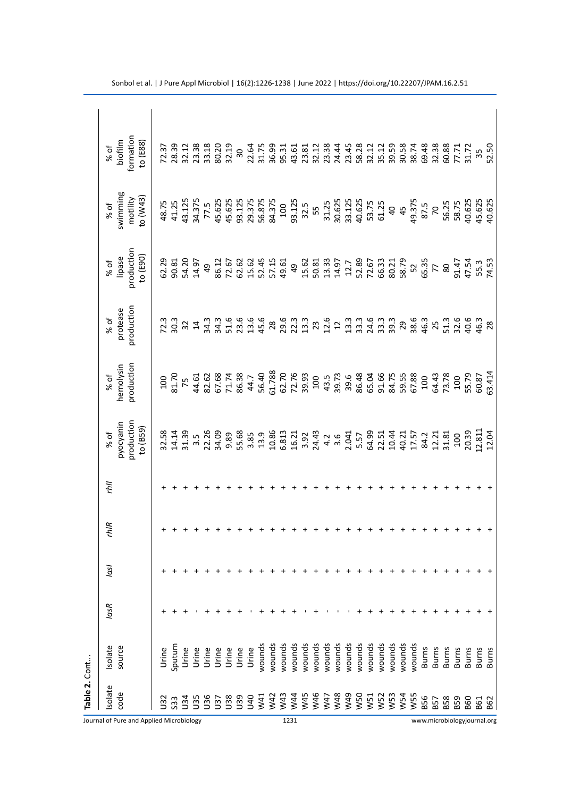|                                          | Table 2. Cont   |              |      |      |      |     |                                                                                   |                |              |                                                                                                     |                                                                |                                     |
|------------------------------------------|-----------------|--------------|------|------|------|-----|-----------------------------------------------------------------------------------|----------------|--------------|-----------------------------------------------------------------------------------------------------|----------------------------------------------------------------|-------------------------------------|
|                                          | Isolate         | Isolate      | lasR | lasl | rhiR | llų | % of                                                                              | % of           | % of         |                                                                                                     | % of                                                           | % of                                |
|                                          | code            | source       |      |      |      |     | pyocyanin                                                                         | hemolysin      | protease     | % of<br>lipase                                                                                      | swimming                                                       | biofilm                             |
| Journal of Pure and Applied Microbiology |                 |              |      |      |      |     | production<br>to (B59)                                                            | production     | production   | production<br>to $(E90)$                                                                            | to (W43)<br>motility                                           | formation<br>to $(EB8)$             |
|                                          |                 |              |      |      |      |     |                                                                                   |                |              |                                                                                                     |                                                                |                                     |
|                                          | $\tilde{5}$     | Urine        |      |      |      |     | $\begin{array}{c} 32.58 \\ 21.43 \\ 31.5 \\ 32.5 \\ 23.5 \\ 34.09 \\ \end{array}$ |                |              | 62.29<br>90.81                                                                                      | 48.75<br>41.25                                                 |                                     |
|                                          | 533             | sputum       |      |      |      |     |                                                                                   |                |              |                                                                                                     |                                                                |                                     |
|                                          | 34              | Urine        |      |      |      |     |                                                                                   |                | 723 32 4     | 54.20                                                                                               | 43.125                                                         |                                     |
|                                          | J35             | Urine        |      |      |      |     |                                                                                   |                |              | 14.97                                                                                               | 34.375                                                         |                                     |
|                                          | 36              | Urine        |      |      |      |     |                                                                                   |                |              | 49                                                                                                  | 77.5                                                           |                                     |
|                                          | 57              | Urine        |      |      |      |     |                                                                                   |                | 34.3<br>34.3 | 86.12                                                                                               |                                                                |                                     |
|                                          | <b>U38</b>      | Urine        |      |      |      |     |                                                                                   |                |              | 72.67                                                                                               |                                                                |                                     |
|                                          | U39             | Urine        |      |      |      |     |                                                                                   |                |              | 62.62                                                                                               |                                                                |                                     |
|                                          | <b>GRU</b>      | Urine        |      |      |      |     |                                                                                   |                |              | 15.62                                                                                               |                                                                |                                     |
|                                          | W <sub>41</sub> | wounds       |      |      |      |     |                                                                                   |                |              |                                                                                                     |                                                                |                                     |
|                                          | W42             | wounds       |      |      |      |     |                                                                                   |                |              |                                                                                                     |                                                                |                                     |
|                                          | W43             | wounds       |      |      |      |     |                                                                                   |                |              | 52.45<br>57.15<br>49.49                                                                             | 45.625<br>45.625<br>93.125<br>98.375<br>56.875<br>84.375       |                                     |
| 1231                                     | W44             | wounds       |      |      |      |     |                                                                                   |                |              |                                                                                                     | 93.125                                                         |                                     |
|                                          | W45             | wounds       |      |      |      |     |                                                                                   |                |              |                                                                                                     | 32.5                                                           |                                     |
|                                          | W46             | wounds       |      |      |      |     |                                                                                   |                |              | $15.61$ $33.3$<br>$50.7$ $51.7$ $52.8$<br>$53.71$<br>$54.7$ $52.8$<br>$56.71$<br>$56.71$<br>$58.79$ | 55<br>31.25<br>30.625<br>33.125<br>40.625                      |                                     |
|                                          | W47             | wounds       |      |      |      |     |                                                                                   |                |              |                                                                                                     |                                                                |                                     |
|                                          | W48             | wounds       |      |      |      |     |                                                                                   |                |              |                                                                                                     |                                                                |                                     |
|                                          | W49             | wounds       |      |      |      |     |                                                                                   |                |              |                                                                                                     |                                                                |                                     |
|                                          | W50             | wounds       |      |      |      |     |                                                                                   |                |              |                                                                                                     |                                                                |                                     |
|                                          | W51             | wounds       |      |      |      |     |                                                                                   |                |              |                                                                                                     | 53.75<br>61.25                                                 |                                     |
|                                          | W52             | wounds       |      |      |      |     |                                                                                   |                |              |                                                                                                     |                                                                |                                     |
|                                          | W53             | wounds       |      |      |      |     |                                                                                   |                |              |                                                                                                     | $45$                                                           |                                     |
|                                          | W54             | wounds       |      |      |      |     |                                                                                   |                |              |                                                                                                     |                                                                |                                     |
|                                          | W <sub>55</sub> | wounds       |      |      |      |     |                                                                                   |                |              |                                                                                                     |                                                                |                                     |
|                                          | B56             | <b>Burns</b> |      |      |      |     |                                                                                   |                |              |                                                                                                     |                                                                |                                     |
|                                          | B57             | <b>Burns</b> |      |      |      |     |                                                                                   |                |              | $52$<br>$65.35$<br>$72$<br>$80$                                                                     |                                                                |                                     |
|                                          | <b>B58</b>      | Burns        |      |      |      |     |                                                                                   | 64.43<br>73.78 |              |                                                                                                     |                                                                |                                     |
|                                          | <b>B59</b>      | <b>Burns</b> |      |      |      |     |                                                                                   | 100            |              |                                                                                                     |                                                                |                                     |
|                                          | <b>B60</b>      | Burns        |      |      |      |     |                                                                                   | 55.79<br>60.87 |              | 91.54<br>47.54<br>55.53<br>74.58                                                                    | 49.375<br>87.5<br>86.25<br>56.75<br>58.625<br>40.625<br>40.625 | 69.48<br>32.38<br>60.77<br>55<br>35 |
|                                          | EG1             | Burns        |      |      |      |     |                                                                                   |                |              |                                                                                                     |                                                                |                                     |
| www.microbiologyjournal.org              | <b>B62</b>      | Burns        |      |      |      |     |                                                                                   | 63.414         | 28           |                                                                                                     |                                                                | 52.50                               |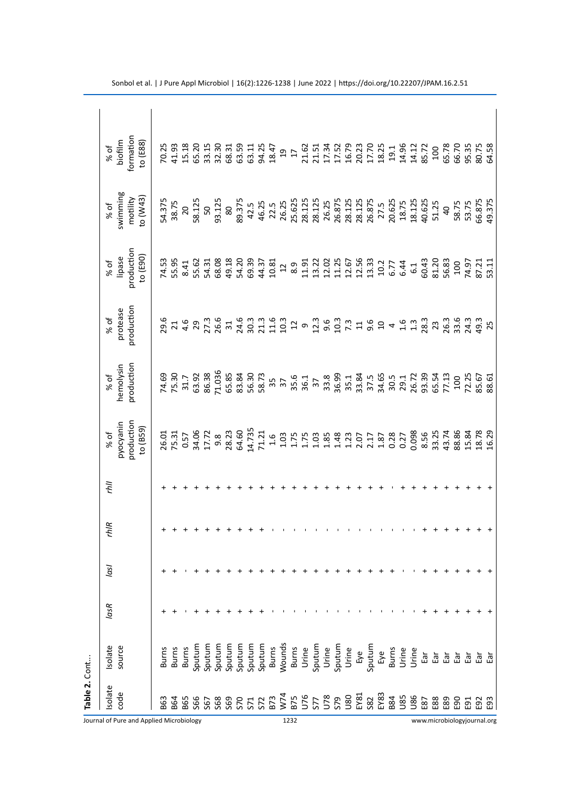| Table 2. Cont                            |                                                                                                                                                |      |      |      |    |                        |                                 |            |                        |                      |                       |
|------------------------------------------|------------------------------------------------------------------------------------------------------------------------------------------------|------|------|------|----|------------------------|---------------------------------|------------|------------------------|----------------------|-----------------------|
| Isolate                                  | Isolate                                                                                                                                        | lasR | lasl | rhiR | ÎЩ | % of                   |                                 | % of       |                        |                      |                       |
| code                                     | source                                                                                                                                         |      |      |      |    | pyocyanin              | % of<br>hemolysin<br>production | protease   | % of<br>lipase         | % of<br>swimming     | % of<br>biofilm       |
| Journal of Pure and Applied Microbiology |                                                                                                                                                |      |      |      |    | production<br>to (B59) |                                 | production | production<br>to (E90) | motility<br>to (W43) | formation<br>to (E88) |
| B63                                      | <b>Burns</b>                                                                                                                                   |      |      |      |    |                        |                                 |            |                        |                      |                       |
| <b>B64</b>                               | <b>Burns</b>                                                                                                                                   |      |      |      |    |                        |                                 |            |                        |                      |                       |
| B65                                      | <b>Burns</b>                                                                                                                                   |      |      |      |    |                        |                                 |            |                        |                      |                       |
| <b>S66</b>                               | Sputum                                                                                                                                         |      |      |      |    |                        |                                 |            |                        |                      |                       |
|                                          | Sputum                                                                                                                                         |      |      |      |    |                        |                                 |            |                        |                      |                       |
|                                          | Sputum                                                                                                                                         |      |      |      |    |                        |                                 |            |                        |                      |                       |
|                                          |                                                                                                                                                |      |      |      |    |                        |                                 |            |                        |                      |                       |
|                                          |                                                                                                                                                |      |      |      |    |                        |                                 |            |                        |                      |                       |
|                                          |                                                                                                                                                |      |      |      |    |                        |                                 |            |                        |                      |                       |
|                                          |                                                                                                                                                |      |      |      |    |                        |                                 |            |                        |                      |                       |
|                                          |                                                                                                                                                |      |      |      |    |                        |                                 |            |                        |                      |                       |
|                                          |                                                                                                                                                |      |      |      |    |                        |                                 |            |                        |                      |                       |
| 1232                                     |                                                                                                                                                |      |      |      |    |                        |                                 |            |                        |                      |                       |
|                                          |                                                                                                                                                |      |      |      |    |                        |                                 |            |                        |                      |                       |
|                                          |                                                                                                                                                |      |      |      |    |                        |                                 |            |                        |                      |                       |
|                                          |                                                                                                                                                |      |      |      |    |                        |                                 |            |                        |                      |                       |
|                                          |                                                                                                                                                |      |      |      |    |                        |                                 |            |                        |                      |                       |
|                                          | Sputum<br>Sputum Sunday<br>Sputum Bunday<br>Sputum Bunday<br>Sputum Bunday<br>Sputum Bunday<br>Sputum Bunday<br>Sputum Bunday<br>Sputum Bunday |      |      |      |    |                        |                                 |            |                        |                      |                       |
|                                          |                                                                                                                                                |      |      |      |    |                        |                                 |            |                        |                      |                       |
|                                          |                                                                                                                                                |      |      |      |    |                        |                                 |            |                        |                      |                       |
|                                          |                                                                                                                                                |      |      |      |    |                        |                                 |            |                        |                      |                       |
|                                          |                                                                                                                                                |      |      |      |    |                        |                                 |            |                        |                      |                       |
|                                          |                                                                                                                                                |      |      |      |    |                        |                                 |            |                        |                      |                       |
|                                          |                                                                                                                                                |      |      |      |    |                        |                                 |            |                        |                      |                       |
| $-8$                                     | ត្ប                                                                                                                                            |      |      |      |    |                        |                                 |            |                        |                      |                       |
| $\frac{88}{2}$                           | Ρg                                                                                                                                             |      |      |      |    |                        |                                 |            |                        |                      |                       |
| E89                                      | 鸟                                                                                                                                              |      |      |      |    |                        |                                 |            |                        |                      |                       |
| egg                                      | ρĒ,                                                                                                                                            |      |      |      |    |                        |                                 |            |                        |                      |                       |
| ត្ឆ                                      | ត្ន                                                                                                                                            |      |      |      |    |                        |                                 |            |                        |                      |                       |
| Ξ                                        |                                                                                                                                                |      |      |      |    |                        |                                 |            |                        |                      |                       |
| ĝ3<br>www.microbiologyjournal.org        |                                                                                                                                                |      |      |      |    |                        |                                 |            |                        |                      |                       |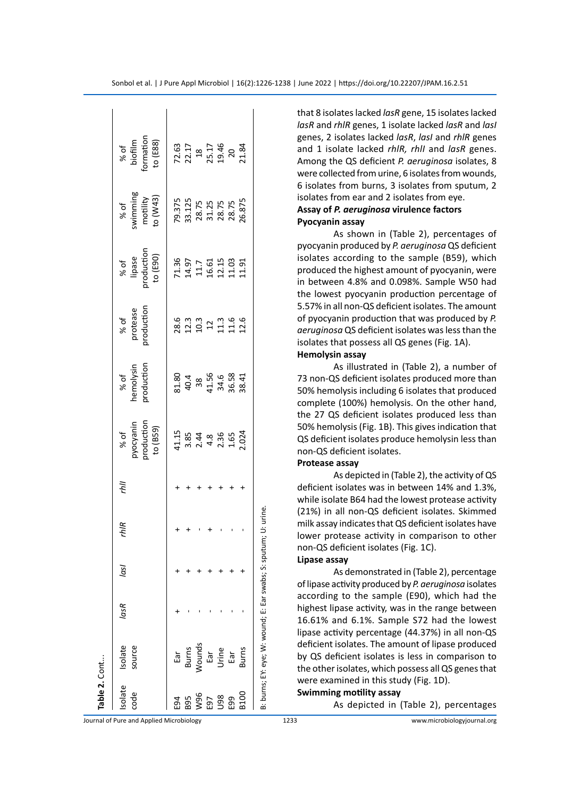| Table 2. Cont  |                                                 |      |      |                 |    |                                                 |                                                   |                                               |                                              |                                                       |                                                                  |  |
|----------------|-------------------------------------------------|------|------|-----------------|----|-------------------------------------------------|---------------------------------------------------|-----------------------------------------------|----------------------------------------------|-------------------------------------------------------|------------------------------------------------------------------|--|
| solate<br>code | Isolate<br>source                               | lasR | lasl | rhIR            | ÌЩ | % of<br>pyocyanin<br>production<br>to (B59)     | % of<br>hemolysin<br>production                   | % of<br>protease<br>production                | % of<br>lipase<br>roduction<br>to (E90)      | % of<br>wimming<br>motility<br>to (W43)               | % of<br>biofilm<br>ormation<br>to (E88)                          |  |
| E94            |                                                 |      |      |                 |    |                                                 |                                                   |                                               |                                              |                                                       |                                                                  |  |
| 895            | Ear<br>Burns<br>Mounds<br>Ear                   |      |      |                 |    | 11.15<br>3.85<br>2.4 &<br>4.8<br>2.024<br>2.024 | 31.80<br>40.4<br>38.56<br>41.56<br>38.41<br>38.41 | 8 3 3 3 4 5 6<br>8 5 9 7 5 6 6<br>8 4 5 7 5 6 | 71.36<br>14.97<br>14.51 13.91<br>11.91 11.91 | 79.375<br>33.125<br>28.75<br>31.25<br>28.75<br>28.875 | $72.63$<br>$22.17$<br>$18$<br>$25.17$<br>$20$<br>$20$<br>$21.84$ |  |
| W96            |                                                 |      |      |                 |    |                                                 |                                                   |                                               |                                              |                                                       |                                                                  |  |
| E97            |                                                 |      |      |                 |    |                                                 |                                                   |                                               |                                              |                                                       |                                                                  |  |
| 98U            | Urine                                           |      |      |                 |    |                                                 |                                                   |                                               |                                              |                                                       |                                                                  |  |
| E99            | Ear                                             |      |      |                 |    |                                                 |                                                   |                                               |                                              |                                                       |                                                                  |  |
| B100           | <b>Burns</b>                                    |      |      |                 |    |                                                 |                                                   |                                               |                                              |                                                       |                                                                  |  |
|                | B: burns; EY: eye; W: wound; E: Ear swabs; S: s |      |      | putum; U: urine |    |                                                 |                                                   |                                               |                                              |                                                       |                                                                  |  |

that 8 isolates lacked *lasR* gene, 15 isolates lacked *lasR* and *rhlR* genes, 1 isolate lacked *lasR* and *lasI* genes, 2 isolates lacked *lasR*, *lasI* and *rhlR* genes and 1 isolate lacked *rhlR, rhlI* and *lasR* genes. Among the QS deficient *P. aeruginosa* isolates, 8 were collected from urine, 6 isolates from wounds, 6 isolates from burns, 3 isolates from sputum, 2 isolates from ear and 2 isolates from eye. **Assay of** *P. aeruginosa* **virulence factors Pyocyanin assay**

As shown in (Table 2), percentages of pyocyanin produced by *P. aeruginosa* QS deficient isolates according to the sample (B59), which produced the highest amount of pyocyanin, were in between 4.8% and 0.098%. Sample W50 had the lowest pyocyanin production percentage of 5.57% in all non-QS deficient isolates. The amount of pyocyanin production that was produced by *P. aeruginosa* QS deficient isolates was less than the isolates that possess all QS genes (Fig. 1A).

# **Hemolysin assay**

As illustrated in (Table 2), a number of 73 non-QS deficient isolates produced more than 50% hemolysis including 6 isolates that produced complete (100%) hemolysis. On the other hand, the 27 QS deficient isolates produced less than 50% hemolysis (Fig. 1B). This gives indication that QS deficient isolates produce hemolysin less than non-QS deficient isolates.

# **Protease assay**

As depicted in (Table 2), the activity of QS deficient isolates was in between 14% and 1.3%, while isolate B64 had the lowest protease activity (21%) in all non-QS deficient isolates. Skimmed milk assay indicates that QS deficient isolates have lower protease activity in comparison to other non-QS deficient isolates (Fig. 1C).

#### **Lipase assay**

As demonstrated in (Table 2), percentage of lipase activity produced by *P. aeruginosa* isolates according to the sample (E90), which had the highest lipase activity, was in the range between 16.61% and 6.1%. Sample S72 had the lowest lipase activity percentage (44.37%) in all non-QS deficient isolates. The amount of lipase produced by QS deficient isolates is less in comparison to the other isolates, which possess all QS genes that were examined in this study (Fig. 1D).

#### **Swimming motility assay**

As depicted in (Table 2), percentages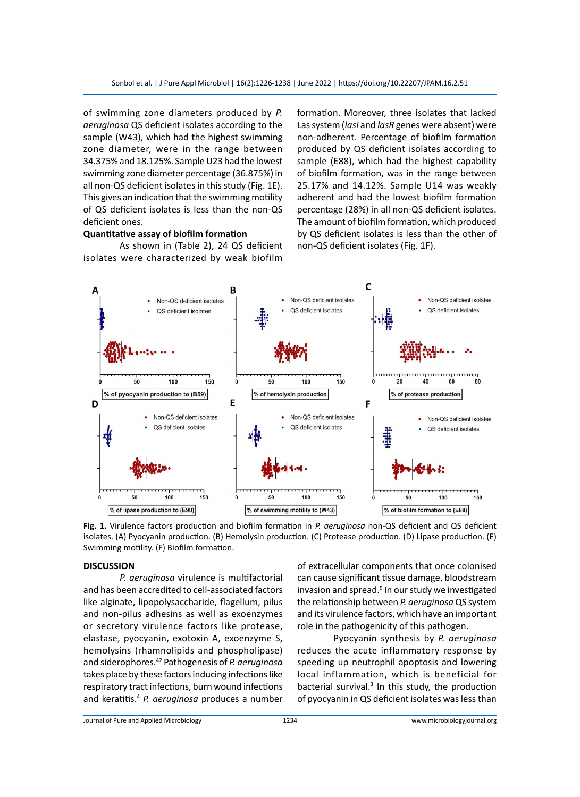of swimming zone diameters produced by *P. aeruginosa* QS deficient isolates according to the sample (W43), which had the highest swimming zone diameter, were in the range between 34.375% and 18.125%. Sample U23 had the lowest swimming zone diameter percentage (36.875%) in all non-QS deficient isolates in this study (Fig. 1E). This gives an indication that the swimming motility of QS deficient isolates is less than the non-QS deficient ones.

# **Quantitative assay of biofilm formation**

As shown in (Table 2), 24 QS deficient isolates were characterized by weak biofilm

formation. Moreover, three isolates that lacked Las system (*lasI* and *lasR* genes were absent) were non-adherent. Percentage of biofilm formation produced by QS deficient isolates according to sample (E88), which had the highest capability of biofilm formation, was in the range between 25.17% and 14.12%. Sample U14 was weakly adherent and had the lowest biofilm formation percentage (28%) in all non-QS deficient isolates. The amount of biofilm formation, which produced by QS deficient isolates is less than the other of non-QS deficient isolates (Fig. 1F).



**Fig. 1.** Virulence factors production and biofilm formation in *P. aeruginosa* non-QS deficient and QS deficient isolates. (A) Pyocyanin production. (B) Hemolysin production. (C) Protease production. (D) Lipase production. (E) Swimming motility. (F) Biofilm formation.

#### **DISCUSSION**

*P. aeruginosa* virulence is multifactorial and has been accredited to cell-associated factors like alginate, lipopolysaccharide, flagellum, pilus and non-pilus adhesins as well as exoenzymes or secretory virulence factors like protease, elastase, pyocyanin, exotoxin A, exoenzyme S, hemolysins (rhamnolipids and phospholipase) and siderophores.42 Pathogenesis of *P. aeruginosa* takes place by these factors inducing infections like respiratory tract infections, burn wound infections and keratitis.<sup>4</sup> *P. aeruginosa* produces a number

of extracellular components that once colonised can cause significant tissue damage, bloodstream invasion and spread.<sup>5</sup> In our study we investigated the relationship between *P. aeruginosa* QS system and its virulence factors, which have an important role in the pathogenicity of this pathogen.

Pyocyanin synthesis by *P. aeruginosa* reduces the acute inflammatory response by speeding up neutrophil apoptosis and lowering local inflammation, which is beneficial for bacterial survival.<sup>3</sup> In this study, the production of pyocyanin in QS deficient isolates was less than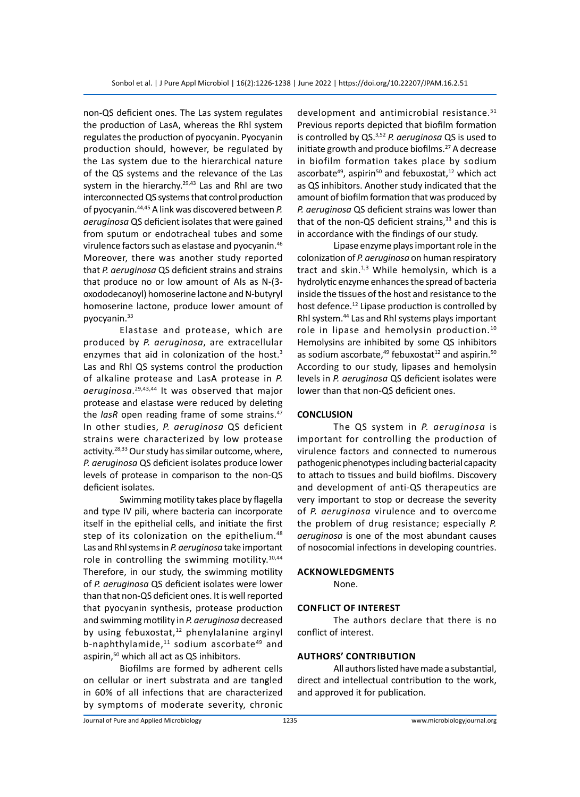non-QS deficient ones. The Las system regulates the production of LasA, whereas the Rhl system regulates the production of pyocyanin. Pyocyanin production should, however, be regulated by the Las system due to the hierarchical nature of the QS systems and the relevance of the Las system in the hierarchy. $29,43$  Las and Rhl are two interconnected QS systems that control production of pyocyanin.44,45 A link was discovered between *P. aeruginosa* QS deficient isolates that were gained from sputum or endotracheal tubes and some virulence factors such as elastase and pyocyanin.46 Moreover, there was another study reported that *P. aeruginosa* QS deficient strains and strains that produce no or low amount of AIs as N-(3 oxododecanoyl) homoserine lactone and N-butyryl homoserine lactone, produce lower amount of pyocyanin.33

Elastase and protease, which are produced by *P. aeruginosa*, are extracellular enzymes that aid in colonization of the host.<sup>3</sup> Las and Rhl QS systems control the production of alkaline protease and LasA protease in *P. aeruginosa*. 29,43,44 It was observed that major protease and elastase were reduced by deleting the *lasR* open reading frame of some strains.<sup>47</sup> In other studies, *P. aeruginosa* QS deficient strains were characterized by low protease activity.28,33 Our study has similar outcome, where, *P. aeruginosa* QS deficient isolates produce lower levels of protease in comparison to the non-QS deficient isolates.

Swimming motility takes place by flagella and type IV pili, where bacteria can incorporate itself in the epithelial cells, and initiate the first step of its colonization on the epithelium.<sup>48</sup> Las and Rhl systems in *P. aeruginosa* take important role in controlling the swimming motility.<sup>10,44</sup> Therefore, in our study, the swimming motility of *P. aeruginosa* QS deficient isolates were lower than that non-QS deficient ones. It is well reported that pyocyanin synthesis, protease production and swimming motility in *P. aeruginosa* decreased by using febuxostat, $12$  phenylalanine arginyl b-naphthylamide,<sup>11</sup> sodium ascorbate<sup>49</sup> and aspirin,<sup>50</sup> which all act as QS inhibitors.

Biofilms are formed by adherent cells on cellular or inert substrata and are tangled in 60% of all infections that are characterized by symptoms of moderate severity, chronic development and antimicrobial resistance.<sup>51</sup> Previous reports depicted that biofilm formation is controlled by QS.3,52 *P. aeruginosa* QS is used to initiate growth and produce biofilms.<sup>27</sup> A decrease in biofilm formation takes place by sodium ascorbate<sup>49</sup>, aspirin<sup>50</sup> and febuxostat,<sup>12</sup> which act as QS inhibitors. Another study indicated that the amount of biofilm formation that was produced by *P. aeruginosa* QS deficient strains was lower than that of the non-QS deficient strains,<sup>33</sup> and this is in accordance with the findings of our study.

Lipase enzyme plays important role in the colonization of *P. aeruginosa* on human respiratory tract and skin. $1,3$  While hemolysin, which is a hydrolytic enzyme enhances the spread of bacteria inside the tissues of the host and resistance to the host defence.<sup>12</sup> Lipase production is controlled by Rhl system.44 Las and Rhl systems plays important role in lipase and hemolysin production.<sup>10</sup> Hemolysins are inhibited by some QS inhibitors as sodium ascorbate, $49$  febuxostat<sup>12</sup> and aspirin.<sup>50</sup> According to our study, lipases and hemolysin levels in *P. aeruginosa* QS deficient isolates were lower than that non-QS deficient ones.

### **CONCLUSION**

The QS system in *P. aeruginosa* is important for controlling the production of virulence factors and connected to numerous pathogenic phenotypes including bacterial capacity to attach to tissues and build biofilms. Discovery and development of anti-QS therapeutics are very important to stop or decrease the severity of *P. aeruginosa* virulence and to overcome the problem of drug resistance; especially *P. aeruginosa* is one of the most abundant causes of nosocomial infections in developing countries.

#### **Acknowledgments**

None.

#### **Conflict of Interest**

The authors declare that there is no conflict of interest.

#### **Authors' Contribution**

All authors listed have made a substantial, direct and intellectual contribution to the work, and approved it for publication.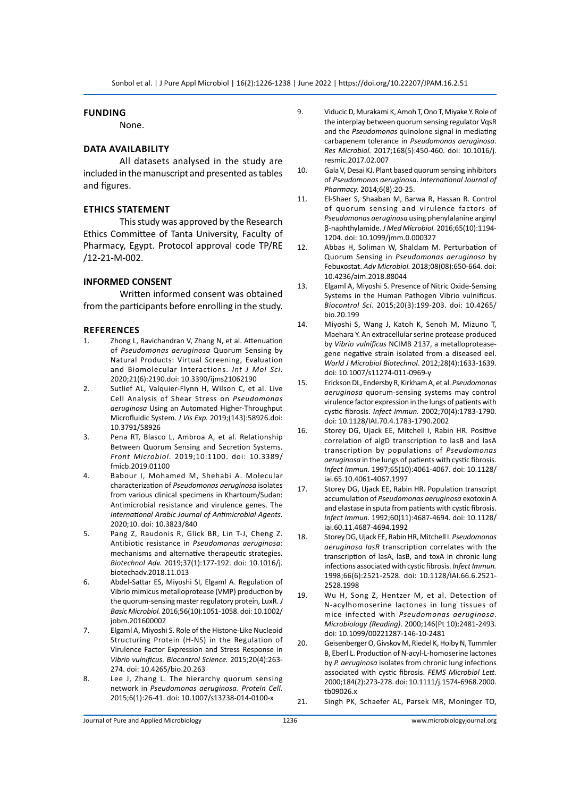#### **Funding**

None.

#### **Data Availability**

All datasets analysed in the study are included in the manuscript and presented as tables and figures.

#### **Ethics Statement**

This study was approved by the Research Ethics Committee of Tanta University, Faculty of Pharmacy, Egypt. Protocol approval code TP/RE /12-21-M-002.

#### **INFORMED CONSENT**

Written informed consent was obtained from the participants before enrolling in the study.

#### **References**

- 1. Zhong L, Ravichandran V, Zhang N, et al. Attenuation of *Pseudomonas aeruginosa* Quorum Sensing by Natural Products: Virtual Screening, Evaluation and Biomolecular Interactions. *Int J Mol Sci*. 2020;21(6):2190.doi: 10.3390/ijms21062190
- 2. Sutlief AL, Valquier-Flynn H, Wilson C, et al. Live Cell Analysis of Shear Stress on *Pseudomonas aeruginosa* Using an Automated Higher-Throughput Microfluidic System. *J Vis Exp.* 2019;(143):58926.doi: 10.3791/58926
- 3. Pena RT, Blasco L, Ambroa A, et al. Relationship Between Quorum Sensing and Secretion Systems. *Front Microbiol*. 2019;10:1100. doi: 10.3389/ fmicb.2019.01100
- 4. Babour I, Mohamed M, Shehabi A. Molecular characterization of *Pseudomonas aeruginosa* isolates from various clinical specimens in Khartoum/Sudan: Antimicrobial resistance and virulence genes. The *International Arabic Journal of Antimicrobial Agents.* 2020;10. doi: 10.3823/840
- 5. Pang Z, Raudonis R, Glick BR, Lin T-J, Cheng Z. Antibiotic resistance in *Pseudomonas aeruginosa*: mechanisms and alternative therapeutic strategies. *Biotechnol Adv.* 2019;37(1):177-192. doi: 10.1016/j. biotechadv.2018.11.013
- 6. Abdel-Sattar ES, Miyoshi SI, Elgaml A. Regulation of Vibrio mimicus metalloprotease (VMP) production by the quorum-sensing master regulatory protein, LuxR. *J Basic Microbiol.* 2016;56(10):1051-1058. doi: 10.1002/ jobm.201600002
- 7. Elgaml A, Miyoshi S. Role of the Histone-Like Nucleoid Structuring Protein (H-NS) in the Regulation of Virulence Factor Expression and Stress Response in *Vibrio vulnificus. Biocontrol Science.* 2015;20(4):263- 274. doi: 10.4265/bio.20.263
- 8. Lee J, Zhang L. The hierarchy quorum sensing network in *Pseudomonas aeruginosa*. *Protein Cell.* 2015;6(1):26-41. doi: 10.1007/s13238-014-0100-x
- 9. Viducic D, Murakami K, Amoh T, Ono T, Miyake Y. Role of the interplay between quorum sensing regulator VqsR and the *Pseudomonas* quinolone signal in mediating carbapenem tolerance in *Pseudomonas aeruginosa*. *Res Microbiol.* 2017;168(5):450-460. doi: 10.1016/j. resmic.2017.02.007
- 10. Gala V, Desai KJ. Plant based quorum sensing inhibitors of *Pseudomonas aeruginosa*. *International Journal of Pharmacy.* 2014;6(8):20-25.
- 11. El-Shaer S, Shaaban M, Barwa R, Hassan R. Control of quorum sensing and virulence factors of *Pseudomonas aeruginosa* using phenylalanine arginyl β-naphthylamide. *J Med Microbiol.* 2016;65(10):1194- 1204. doi: 10.1099/jmm.0.000327
- 12. Abbas H, Soliman W, Shaldam M. Perturbation of Quorum Sensing in *Pseudomonas aeruginosa* by Febuxostat. *Adv Microbiol.* 2018;08(08):650-664. doi: 10.4236/aim.2018.88044
- 13. Elgaml A, Miyoshi S. Presence of Nitric Oxide-Sensing Systems in the Human Pathogen Vibrio vulnificus. *Biocontrol Sci.* 2015;20(3):199-203. doi: 10.4265/ bio.20.199
- 14. Miyoshi S, Wang J, Katoh K, Senoh M, Mizuno T, Maehara Y. An extracellular serine protease produced by *Vibrio vulnificus* NCIMB 2137, a metalloproteasegene negative strain isolated from a diseased eel. *World J Microbiol Biotechnol*. 2012;28(4):1633-1639. doi: 10.1007/s11274-011-0969-y
- 15. Erickson DL, Endersby R, Kirkham A, et al. *Pseudomonas aeruginosa* quorum-sensing systems may control virulence factor expression in the lungs of patients with cystic fibrosis. *Infect Immun.* 2002;70(4):1783-1790. doi: 10.1128/IAI.70.4.1783-1790.2002
- 16. Storey DG, Ujack EE, Mitchell I, Rabin HR. Positive correlation of algD transcription to lasB and lasA transcription by populations of *Pseudomonas aeruginosa* in the lungs of patients with cystic fibrosis. *Infect Immun.* 1997;65(10):4061-4067. doi: 10.1128/ iai.65.10.4061-4067.1997
- 17. Storey DG, Ujack EE, Rabin HR. Population transcript accumulation of *Pseudomonas aeruginosa* exotoxin A and elastase in sputa from patients with cystic fibrosis. *Infect Immun.* 1992;60(11):4687-4694. doi: 10.1128/ iai.60.11.4687-4694.1992
- 18. Storey DG, Ujack EE, Rabin HR, Mitchell I. *Pseudomonas aeruginosa lasR* transcription correlates with the transcription of lasA, lasB, and toxA in chronic lung infections associated with cystic fibrosis. *Infect Immun.* 1998;66(6):2521-2528. doi: 10.1128/IAI.66.6.2521- 2528.1998
- 19. Wu H, Song Z, Hentzer M, et al. Detection of N-acylhomoserine lactones in lung tissues of mice infected with *Pseudomonas aeruginosa*. *Microbiology (Reading)*. 2000;146(Pt 10):2481-2493. doi: 10.1099/00221287-146-10-2481
- 20. Geisenberger O, Givskov M, Riedel K, Hoiby N, Tummler B, Eberl L. Production of N-acyl-L-homoserine lactones by *P. aeruginosa* isolates from chronic lung infections associated with cystic fibrosis. *FEMS Microbiol Lett.* 2000;184(2):273-278. doi: 10.1111/j.1574-6968.2000. tb09026.x
- 21. Singh PK, Schaefer AL, Parsek MR, Moninger TO,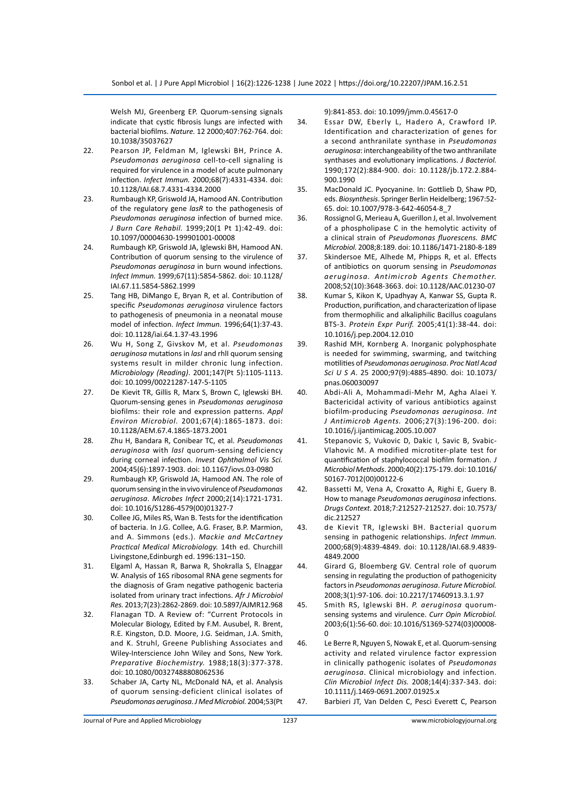Welsh MJ, Greenberg EP. Quorum-sensing signals indicate that cystic fibrosis lungs are infected with bacterial biofilms. *Nature.* 12 2000;407:762-764. doi: 10.1038/35037627

- 22. Pearson JP, Feldman M, Iglewski BH, Prince A. *Pseudomonas aeruginosa* cell-to-cell signaling is required for virulence in a model of acute pulmonary infection. *Infect Immun.* 2000;68(7):4331-4334. doi: 10.1128/IAI.68.7.4331-4334.2000
- 23. Rumbaugh KP, Griswold JA, Hamood AN. Contribution of the regulatory gene *lasR* to the pathogenesis of *Pseudomonas aeruginosa* infection of burned mice. *J Burn Care Rehabil.* 1999;20(1 Pt 1):42-49. doi: 10.1097/00004630-199901001-00008
- 24. Rumbaugh KP, Griswold JA, Iglewski BH, Hamood AN. Contribution of quorum sensing to the virulence of *Pseudomonas aeruginosa* in burn wound infections. *Infect Immun.* 1999;67(11):5854-5862. doi: 10.1128/ IAI.67.11.5854-5862.1999
- 25. Tang HB, DiMango E, Bryan R, et al. Contribution of specific *Pseudomonas aeruginosa* virulence factors to pathogenesis of pneumonia in a neonatal mouse model of infection. *Infect Immun.* 1996;64(1):37-43. doi: 10.1128/iai.64.1.37-43.1996
- 26. Wu H, Song Z, Givskov M, et al. *Pseudomonas aeruginosa* mutations in *lasI* and rhlI quorum sensing systems result in milder chronic lung infection. *Microbiology (Reading)*. 2001;147(Pt 5):1105-1113. doi: 10.1099/00221287-147-5-1105
- 27. De Kievit TR, Gillis R, Marx S, Brown C, Iglewski BH. Quorum-sensing genes in *Pseudomonas aeruginosa* biofilms: their role and expression patterns. *Appl Environ Microbiol.* 2001;67(4):1865-1873. doi: 10.1128/AEM.67.4.1865-1873.2001
- 28. Zhu H, Bandara R, Conibear TC, et al. *Pseudomonas aeruginosa* with *lasI* quorum-sensing deficiency during corneal infection. *Invest Ophthalmol Vis Sci.* 2004;45(6):1897-1903. doi: 10.1167/iovs.03-0980
- 29. Rumbaugh KP, Griswold JA, Hamood AN. The role of quorum sensing in the in vivo virulence of *Pseudomonas aeruginosa*. *Microbes Infect* 2000;2(14):1721-1731. doi: 10.1016/S1286-4579(00)01327-7
- 30. Collee JG, Miles RS, Wan B. Tests for the identification of bacteria. In J.G. Collee, A.G. Fraser, B.P. Marmion, and A. Simmons (eds.). *Mackie and McCartney Practical Medical Microbiology.* 14th ed. Churchill Livingstone,Edinburgh ed. 1996:131–150.
- 31. Elgaml A, Hassan R, Barwa R, Shokralla S, Elnaggar W. Analysis of 16S ribosomal RNA gene segments for the diagnosis of Gram negative pathogenic bacteria isolated from urinary tract infections. *Afr J Microbiol Res.* 2013;7(23):2862-2869. doi: 10.5897/AJMR12.968
- 32. Flanagan TD. A Review of: "Current Protocols in Molecular Biology, Edited by F.M. Ausubel, R. Brent, R.E. Kingston, D.D. Moore, J.G. Seidman, J.A. Smith, and K. Struhl, Greene Publishing Associates and Wiley-Interscience John Wiley and Sons, New York. *Preparative Biochemistry.* 1988;18(3):377-378. doi: 10.1080/00327488808062536
- 33. Schaber JA, Carty NL, McDonald NA, et al. Analysis of quorum sensing-deficient clinical isolates of *Pseudomonas aeruginosa*. *J Med Microbiol.* 2004;53(Pt

9):841-853. doi: 10.1099/jmm.0.45617-0

- 34. Essar DW, Eberly L, Hadero A, Crawford IP. Identification and characterization of genes for a second anthranilate synthase in *Pseudomonas aeruginosa*: interchangeability of the two anthranilate synthases and evolutionary implications. *J Bacteriol.* 1990;172(2):884-900. doi: 10.1128/jb.172.2.884- 900.1990
- 35. MacDonald JC. Pyocyanine. In: Gottlieb D, Shaw PD, eds. *Biosynthesis*. Springer Berlin Heidelberg; 1967:52- 65. doi: 10.1007/978-3-642-46054-8\_7
- 36. Rossignol G, Merieau A, Guerillon J, et al. Involvement of a phospholipase C in the hemolytic activity of a clinical strain of *Pseudomonas fluorescens. BMC Microbiol.* 2008;8:189. doi: 10.1186/1471-2180-8-189
- 37. Skindersoe ME, Alhede M, Phipps R, et al. Effects of antibiotics on quorum sensing in *Pseudomonas aeruginosa. Antimicrob Agents Chemother.* 2008;52(10):3648-3663. doi: 10.1128/AAC.01230-07
- 38. Kumar S, Kikon K, Upadhyay A, Kanwar SS, Gupta R. Production, purification, and characterization of lipase from thermophilic and alkaliphilic Bacillus coagulans BTS-3. *Protein Expr Purif.* 2005;41(1):38-44. doi: 10.1016/j.pep.2004.12.010
- 39. Rashid MH, Kornberg A. Inorganic polyphosphate is needed for swimming, swarming, and twitching motilities of *Pseudomonas aeruginosa*. *Proc Natl Acad Sci U S A*. 25 2000;97(9):4885-4890. doi: 10.1073/ pnas.060030097
- 40. Abdi-Ali A, Mohammadi-Mehr M, Agha Alaei Y. Bactericidal activity of various antibiotics against biofilm-producing *Pseudomonas aeruginosa*. *Int J Antimicrob Agents.* 2006;27(3):196-200. doi: 10.1016/j.ijantimicag.2005.10.007
- 41. Stepanovic S, Vukovic D, Dakic I, Savic B, Svabic-Vlahovic M. A modified microtiter-plate test for quantification of staphylococcal biofilm formation. *J Microbiol Methods*. 2000;40(2):175-179. doi: 10.1016/ S0167-7012(00)00122-6
- 42. Bassetti M, Vena A, Croxatto A, Righi E, Guery B. How to manage *Pseudomonas aeruginosa* infections. *Drugs Context.* 2018;7:212527-212527. doi: 10.7573/ dic.212527
- 43. de Kievit TR, Iglewski BH. Bacterial quorum sensing in pathogenic relationships. *Infect Immun.* 2000;68(9):4839-4849. doi: 10.1128/IAI.68.9.4839- 4849.2000
- 44. Girard G, Bloemberg GV. Central role of quorum sensing in regulating the production of pathogenicity factors in *Pseudomonas aeruginosa*. *Future Microbiol.* 2008;3(1):97-106. doi: 10.2217/17460913.3.1.97
- 45. Smith RS, Iglewski BH. *P. aeruginosa* quorumsensing systems and virulence. *Curr Opin Microbiol.* 2003;6(1):56-60. doi: 10.1016/S1369-5274(03)00008- 0
- 46. Le Berre R, Nguyen S, Nowak E, et al. Quorum-sensing activity and related virulence factor expression in clinically pathogenic isolates of *Pseudomonas aeruginosa*. Clinical microbiology and infection. *Clin Microbiol Infect Dis.* 2008;14(4):337-343. doi: 10.1111/j.1469-0691.2007.01925.x
- 47. Barbieri JT, Van Delden C, Pesci Everett C, Pearson